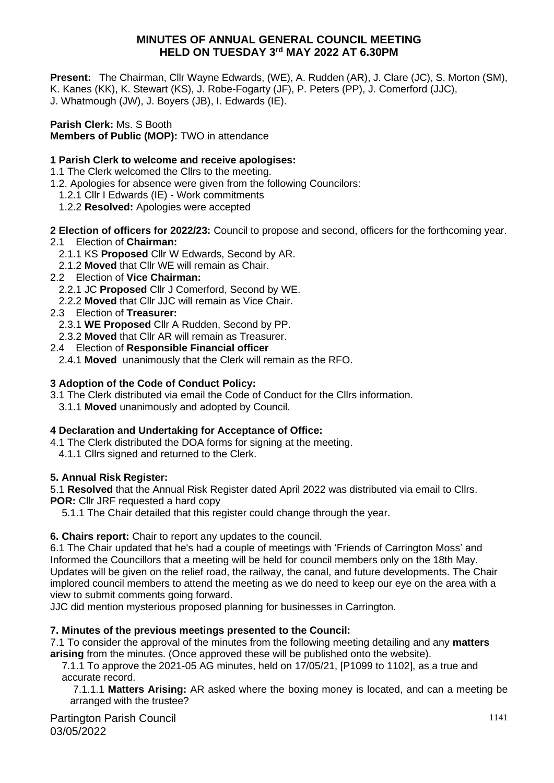## **MINUTES OF ANNUAL GENERAL COUNCIL MEETING HELD ON TUESDAY 3 rd MAY 2022 AT 6.30PM**

**Present:** The Chairman, Cllr Wayne Edwards, (WE), A. Rudden (AR), J. Clare (JC), S. Morton (SM), K. Kanes (KK), K. Stewart (KS), J. Robe-Fogarty (JF), P. Peters (PP), J. Comerford (JJC), J. Whatmough (JW), J. Boyers (JB), I. Edwards (IE).

**Parish Clerk:** Ms. S Booth **Members of Public (MOP):** TWO in attendance

# **1 Parish Clerk to welcome and receive apologises:**

- 1.1 The Clerk welcomed the Cllrs to the meeting.
- 1.2. Apologies for absence were given from the following Councilors:
	- 1.2.1 Cllr I Edwards (IE) Work commitments
	- 1.2.2 **Resolved:** Apologies were accepted
- **2 Election of officers for 2022/23:** Council to propose and second, officers for the forthcoming year.
- 2.1Election of **Chairman:**
	- 2.1.1 KS **Proposed** Cllr W Edwards, Second by AR.
	- 2.1.2 **Moved** that Cllr WE will remain as Chair.
- 2.2 Election of **Vice Chairman:**
	- 2.2.1 JC **Proposed** Cllr J Comerford, Second by WE.
	- 2.2.2 **Moved** that Cllr JJC will remain as Vice Chair.
- 2.3 Election of **Treasurer:**
	- 2.3.1 **WE Proposed** Cllr A Rudden, Second by PP.
	- 2.3.2 **Moved** that Cllr AR will remain as Treasurer.
- 2.4 Election of **Responsible Financial officer**
	- 2.4.1 **Moved** unanimously that the Clerk will remain as the RFO.

#### **3 Adoption of the Code of Conduct Policy:**

- 3.1 The Clerk distributed via email the Code of Conduct for the Cllrs information.
	- 3.1.1 **Moved** unanimously and adopted by Council.

#### **4 Declaration and Undertaking for Acceptance of Office:**

- 4.1 The Clerk distributed the DOA forms for signing at the meeting.
- 4.1.1 Cllrs signed and returned to the Clerk.

## **5. Annual Risk Register:**

5.1 **Resolved** that the Annual Risk Register dated April 2022 was distributed via email to Cllrs. **POR:** Cllr JRF requested a hard copy

5.1.1 The Chair detailed that this register could change through the year.

## **6. Chairs report:** Chair to report any updates to the council.

6.1 The Chair updated that he's had a couple of meetings with 'Friends of Carrington Moss' and Informed the Councillors that a meeting will be held for council members only on the 18th May. Updates will be given on the relief road, the railway, the canal, and future developments. The Chair implored council members to attend the meeting as we do need to keep our eye on the area with a view to submit comments going forward.

JJC did mention mysterious proposed planning for businesses in Carrington.

## **7. Minutes of the previous meetings presented to the Council:**

7.1 To consider the approval of the minutes from the following meeting detailing and any **matters arising** from the minutes. (Once approved these will be published onto the website).

 7.1.1 To approve the 2021-05 AG minutes, held on 17/05/21, [P1099 to 1102], as a true and accurate record.

 7.1.1.1 **Matters Arising:** AR asked where the boxing money is located, and can a meeting be arranged with the trustee?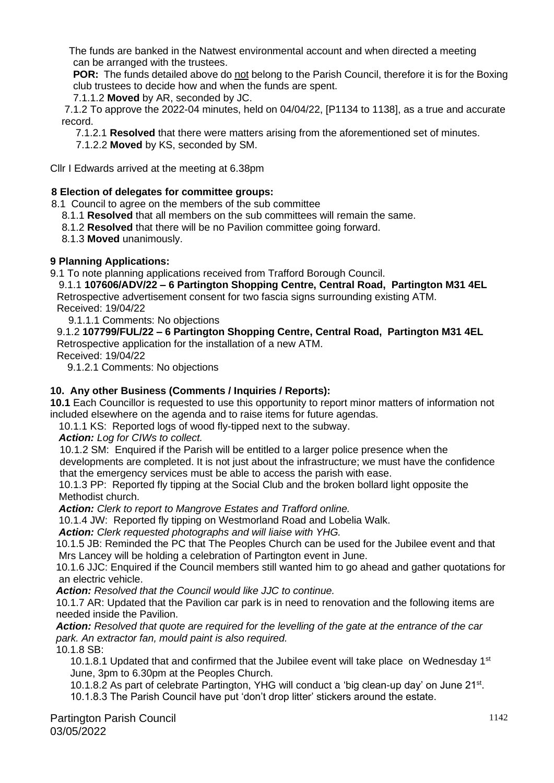The funds are banked in the Natwest environmental account and when directed a meeting can be arranged with the trustees.

**POR:** The funds detailed above do not belong to the Parish Council, therefore it is for the Boxing club trustees to decide how and when the funds are spent.

7.1.1.2 **Moved** by AR, seconded by JC.

 7.1.2 To approve the 2022-04 minutes, held on 04/04/22, [P1134 to 1138], as a true and accurate record.

7.1.2.1 **Resolved** that there were matters arising from the aforementioned set of minutes.

7.1.2.2 **Moved** by KS, seconded by SM.

Cllr I Edwards arrived at the meeting at 6.38pm

#### **8 Election of delegates for committee groups:**

- 8.1 Council to agree on the members of the sub committee
	- 8.1.1 **Resolved** that all members on the sub committees will remain the same.
	- 8.1.2 **Resolved** that there will be no Pavilion committee going forward.

8.1.3 **Moved** unanimously.

#### **9 Planning Applications:**

9.1 To note planning applications received from Trafford Borough Council.

 9.1.1 **107606/ADV/22 – 6 Partington Shopping Centre, Central Road, Partington M31 4EL** Retrospective advertisement consent for two fascia signs surrounding existing ATM. Received: 19/04/22

9.1.1.1 Comments: No objections

9.1.2 **107799/FUL/22 – 6 Partington Shopping Centre, Central Road, Partington M31 4EL** Retrospective application for the installation of a new ATM.

Received: 19/04/22

9.1.2.1 Comments: No objections

#### **10. Any other Business (Comments / Inquiries / Reports):**

**10.1** Each Councillor is requested to use this opportunity to report minor matters of information not included elsewhere on the agenda and to raise items for future agendas.

10.1.1 KS: Reported logs of wood fly-tipped next to the subway.

*Action: Log for CIWs to collect.* 

10.1.2 SM: Enquired if the Parish will be entitled to a larger police presence when the developments are completed. It is not just about the infrastructure; we must have the confidence that the emergency services must be able to access the parish with ease.

 10.1.3 PP: Reported fly tipping at the Social Club and the broken bollard light opposite the Methodist church.

 *Action: Clerk to report to Mangrove Estates and Trafford online.*

10.1.4 JW: Reported fly tipping on Westmorland Road and Lobelia Walk.

 *Action: Clerk requested photographs and will liaise with YHG.*

 10.1.5 JB: Reminded the PC that The Peoples Church can be used for the Jubilee event and that Mrs Lancey will be holding a celebration of Partington event in June.

 10.1.6 JJC: Enquired if the Council members still wanted him to go ahead and gather quotations for an electric vehicle.

*Action: Resolved that the Council would like JJC to continue.*

 10.1.7 AR: Updated that the Pavilion car park is in need to renovation and the following items are needed inside the Pavilion.

 *Action: Resolved that quote are required for the levelling of the gate at the entrance of the car park. An extractor fan, mould paint is also required.*

10.1.8 SB:

10.1.8.1 Updated that and confirmed that the Jubilee event will take place on Wednesday  $1<sup>st</sup>$ June, 3pm to 6.30pm at the Peoples Church.

10.1.8.2 As part of celebrate Partington, YHG will conduct a 'big clean-up day' on June 21<sup>st</sup>.

10.1.8.3 The Parish Council have put 'don't drop litter' stickers around the estate.

Partington Parish Council 03/05/2022